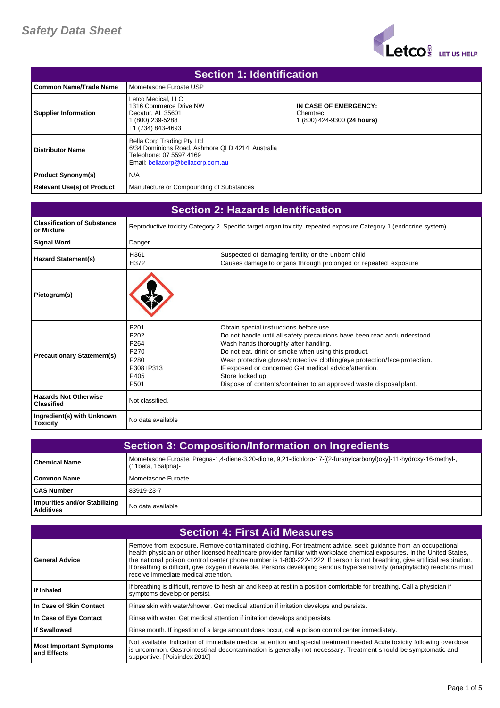

| <b>Section 1: Identification</b>  |                                                                                                                                                |                                                                  |
|-----------------------------------|------------------------------------------------------------------------------------------------------------------------------------------------|------------------------------------------------------------------|
| l Common Name/Trade Name          | Mometasone Furoate USP                                                                                                                         |                                                                  |
| <b>Supplier Information</b>       | Letco Medical, LLC<br>1316 Commerce Drive NW<br>Decatur. AL 35601<br>(800) 239-5288<br>+1 (734) 843-4693                                       | IN CASE OF EMERGENCY:<br>Chemtrec<br>1 (800) 424-9300 (24 hours) |
| <b>Distributor Name</b>           | Bella Corp Trading Pty Ltd<br>6/34 Dominions Road, Ashmore QLD 4214, Australia<br>Telephone: 07 5597 4169<br>Email: bellacorp@bellacorp.com.au |                                                                  |
| <b>Product Synonym(s)</b>         | N/A                                                                                                                                            |                                                                  |
| <b>Relevant Use(s) of Product</b> | Manufacture or Compounding of Substances                                                                                                       |                                                                  |

| <b>Section 2: Hazards Identification</b>          |                                                                                                                               |                                                                                                                                                                                                                                                                                                                                                                                                                                                       |
|---------------------------------------------------|-------------------------------------------------------------------------------------------------------------------------------|-------------------------------------------------------------------------------------------------------------------------------------------------------------------------------------------------------------------------------------------------------------------------------------------------------------------------------------------------------------------------------------------------------------------------------------------------------|
| <b>Classification of Substance</b><br>or Mixture  |                                                                                                                               | Reproductive toxicity Category 2. Specific target organ toxicity, repeated exposure Category 1 (endocrine system).                                                                                                                                                                                                                                                                                                                                    |
| <b>Signal Word</b>                                | Danger                                                                                                                        |                                                                                                                                                                                                                                                                                                                                                                                                                                                       |
| Hazard Statement(s)                               | H361<br>H372                                                                                                                  | Suspected of damaging fertility or the unborn child<br>Causes damage to organs through prolonged or repeated exposure                                                                                                                                                                                                                                                                                                                                 |
| Pictogram(s)                                      |                                                                                                                               |                                                                                                                                                                                                                                                                                                                                                                                                                                                       |
| <b>Precautionary Statement(s)</b>                 | P <sub>201</sub><br>P <sub>202</sub><br>P <sub>264</sub><br>P270<br>P <sub>280</sub><br>P308+P313<br>P405<br>P <sub>501</sub> | Obtain special instructions before use.<br>Do not handle until all safety precautions have been read and understood.<br>Wash hands thoroughly after handling.<br>Do not eat, drink or smoke when using this product.<br>Wear protective gloves/protective clothing/eye protection/face protection.<br>IF exposed or concerned Get medical advice/attention.<br>Store locked up.<br>Dispose of contents/container to an approved waste disposal plant. |
| <b>Hazards Not Otherwise</b><br><b>Classified</b> | Not classified.                                                                                                               |                                                                                                                                                                                                                                                                                                                                                                                                                                                       |
| Ingredient(s) with Unknown<br><b>Toxicity</b>     | No data available                                                                                                             |                                                                                                                                                                                                                                                                                                                                                                                                                                                       |

| <b>Section 3: Composition/Information on Ingredients</b> |                                                                                                                                         |
|----------------------------------------------------------|-----------------------------------------------------------------------------------------------------------------------------------------|
| l Chemical Name                                          | Mometasone Furoate. Pregna-1,4-diene-3,20-dione, 9,21-dichloro-17-[(2-furanylcarbonyl)oxy]-11-hydroxy-16-methyl-,<br>(11beta, 16alpha)- |
| l Common Name                                            | Mometasone Furoate                                                                                                                      |
| <b>CAS Number</b>                                        | 83919-23-7                                                                                                                              |
| Impurities and/or Stabilizing<br><b>Additives</b>        | No data available                                                                                                                       |

| <b>Section 4: First Aid Measures</b>          |                                                                                                                                                                                                                                                                                                                                                                                                                                                                                                                                                   |
|-----------------------------------------------|---------------------------------------------------------------------------------------------------------------------------------------------------------------------------------------------------------------------------------------------------------------------------------------------------------------------------------------------------------------------------------------------------------------------------------------------------------------------------------------------------------------------------------------------------|
| <b>General Advice</b>                         | Remove from exposure. Remove contaminated clothing. For treatment advice, seek guidance from an occupational<br>health physician or other licensed healthcare provider familiar with workplace chemical exposures. In the United States,<br>the national poison control center phone number is 1-800-222-1222. If person is not breathing, give artificial respiration.<br>If breathing is difficult, give oxygen if available. Persons developing serious hypersensitivity (anaphylactic) reactions must<br>receive immediate medical attention. |
| If Inhaled                                    | If breathing is difficult, remove to fresh air and keep at rest in a position comfortable for breathing. Call a physician if<br>symptoms develop or persist.                                                                                                                                                                                                                                                                                                                                                                                      |
| In Case of Skin Contact                       | Rinse skin with water/shower. Get medical attention if irritation develops and persists.                                                                                                                                                                                                                                                                                                                                                                                                                                                          |
| In Case of Eye Contact                        | Rinse with water. Get medical attention if irritation develops and persists.                                                                                                                                                                                                                                                                                                                                                                                                                                                                      |
| If Swallowed                                  | Rinse mouth. If ingestion of a large amount does occur, call a poison control center immediately.                                                                                                                                                                                                                                                                                                                                                                                                                                                 |
| <b>Most Important Symptoms</b><br>and Effects | Not available. Indication of immediate medical attention and special treatment needed Acute toxicity following overdose<br>is uncommon. Gastrointestinal decontamination is generally not necessary. Treatment should be symptomatic and<br>supportive. [Poisindex 2010]                                                                                                                                                                                                                                                                          |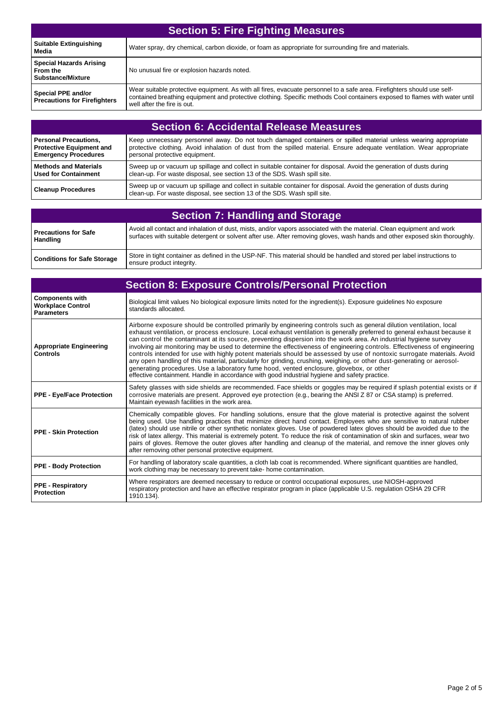| <b>Section 5: Fire Fighting Measures</b>                               |                                                                                                                                                                                                                                                                                      |
|------------------------------------------------------------------------|--------------------------------------------------------------------------------------------------------------------------------------------------------------------------------------------------------------------------------------------------------------------------------------|
| <b>Suitable Extinguishing</b><br>Media                                 | Water spray, dry chemical, carbon dioxide, or foam as appropriate for surrounding fire and materials.                                                                                                                                                                                |
| <b>Special Hazards Arising</b><br>From the<br><b>Substance/Mixture</b> | No unusual fire or explosion hazards noted.                                                                                                                                                                                                                                          |
| Special PPE and/or<br><b>Precautions for Firefighters</b>              | Wear suitable protective equipment. As with all fires, evacuate personnel to a safe area. Firefighters should use self-<br>contained breathing equipment and protective clothing. Specific methods Cool containers exposed to flames with water until<br>well after the fire is out. |

| <b>Section 6: Accidental Release Measures</b> |                                                                                                                                                                                                  |
|-----------------------------------------------|--------------------------------------------------------------------------------------------------------------------------------------------------------------------------------------------------|
| Personal Precautions.                         | Keep unnecessary personnel away. Do not touch damaged containers or spilled material unless wearing appropriate                                                                                  |
| <b>Protective Equipment and</b>               | protective clothing. Avoid inhalation of dust from the spilled material. Ensure adequate ventilation. Wear appropriate                                                                           |
| <b>Emergency Procedures</b>                   | personal protective equipment.                                                                                                                                                                   |
| l Methods and Materials                       | Sweep up or vacuum up spillage and collect in suitable container for disposal. Avoid the generation of dusts during                                                                              |
| Used for Containment                          | clean-up. For waste disposal, see section 13 of the SDS. Wash spill site.                                                                                                                        |
| <b>Cleanup Procedures</b>                     | Sweep up or vacuum up spillage and collect in suitable container for disposal. Avoid the generation of dusts during<br>clean-up. For waste disposal, see section 13 of the SDS. Wash spill site. |

| <b>Section 7: Handling and Storage</b>  |                                                                                                                                                                                                                                                      |
|-----------------------------------------|------------------------------------------------------------------------------------------------------------------------------------------------------------------------------------------------------------------------------------------------------|
| Precautions for Safe<br><b>Handling</b> | Avoid all contact and inhalation of dust, mists, and/or vapors associated with the material. Clean equipment and work<br>surfaces with suitable detergent or solvent after use. After removing gloves, wash hands and other exposed skin thoroughly. |
| <b>Conditions for Safe Storage</b>      | Store in tight container as defined in the USP-NF. This material should be handled and stored per label instructions to<br>ensure product integrity.                                                                                                 |

| <b>Section 8: Exposure Controls/Personal Protection</b>                 |                                                                                                                                                                                                                                                                                                                                                                                                                                                                                                                                                                                                                                                                                                                                                                                                                                                                                                                                                       |
|-------------------------------------------------------------------------|-------------------------------------------------------------------------------------------------------------------------------------------------------------------------------------------------------------------------------------------------------------------------------------------------------------------------------------------------------------------------------------------------------------------------------------------------------------------------------------------------------------------------------------------------------------------------------------------------------------------------------------------------------------------------------------------------------------------------------------------------------------------------------------------------------------------------------------------------------------------------------------------------------------------------------------------------------|
| <b>Components with</b><br><b>Workplace Control</b><br><b>Parameters</b> | Biological limit values No biological exposure limits noted for the ingredient(s). Exposure guidelines No exposure<br>standards allocated.                                                                                                                                                                                                                                                                                                                                                                                                                                                                                                                                                                                                                                                                                                                                                                                                            |
| <b>Appropriate Engineering</b><br><b>Controls</b>                       | Airborne exposure should be controlled primarily by engineering controls such as general dilution ventilation, local<br>exhaust ventilation, or process enclosure. Local exhaust ventilation is generally preferred to general exhaust because it<br>can control the contaminant at its source, preventing dispersion into the work area. An industrial hygiene survey<br>involving air monitoring may be used to determine the effectiveness of engineering controls. Effectiveness of engineering<br>controls intended for use with highly potent materials should be assessed by use of nontoxic surrogate materials. Avoid<br>any open handling of this material, particularly for grinding, crushing, weighing, or other dust-generating or aerosol-<br>generating procedures. Use a laboratory fume hood, vented enclosure, glovebox, or other<br>effective containment. Handle in accordance with good industrial hygiene and safety practice. |
| <b>PPE - Eye/Face Protection</b>                                        | Safety glasses with side shields are recommended. Face shields or goggles may be required if splash potential exists or if<br>corrosive materials are present. Approved eye protection (e.g., bearing the ANSI Z 87 or CSA stamp) is preferred.<br>Maintain eyewash facilities in the work area.                                                                                                                                                                                                                                                                                                                                                                                                                                                                                                                                                                                                                                                      |
| <b>PPE - Skin Protection</b>                                            | Chemically compatible gloves. For handling solutions, ensure that the glove material is protective against the solvent<br>being used. Use handling practices that minimize direct hand contact. Employees who are sensitive to natural rubber<br>(latex) should use nitrile or other synthetic nonlatex gloves. Use of powdered latex gloves should be avoided due to the<br>risk of latex allergy. This material is extremely potent. To reduce the risk of contamination of skin and surfaces, wear two<br>pairs of gloves. Remove the outer gloves after handling and cleanup of the material, and remove the inner gloves only<br>after removing other personal protective equipment.                                                                                                                                                                                                                                                             |
| <b>PPE - Body Protection</b>                                            | For handling of laboratory scale quantities, a cloth lab coat is recommended. Where significant quantities are handled,<br>work clothing may be necessary to prevent take- home contamination.                                                                                                                                                                                                                                                                                                                                                                                                                                                                                                                                                                                                                                                                                                                                                        |
| <b>PPE - Respiratory</b><br><b>Protection</b>                           | Where respirators are deemed necessary to reduce or control occupational exposures, use NIOSH-approved<br>respiratory protection and have an effective respirator program in place (applicable U.S. regulation OSHA 29 CFR<br>1910.134).                                                                                                                                                                                                                                                                                                                                                                                                                                                                                                                                                                                                                                                                                                              |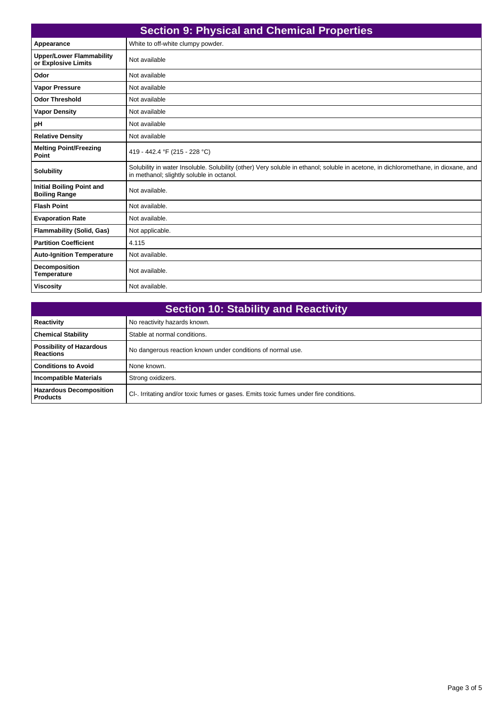| <b>Section 9: Physical and Chemical Properties</b>       |                                                                                                                                                                                 |
|----------------------------------------------------------|---------------------------------------------------------------------------------------------------------------------------------------------------------------------------------|
| Appearance                                               | White to off-white clumpy powder.                                                                                                                                               |
| <b>Upper/Lower Flammability</b><br>or Explosive Limits   | Not available                                                                                                                                                                   |
| Odor                                                     | Not available                                                                                                                                                                   |
| <b>Vapor Pressure</b>                                    | Not available                                                                                                                                                                   |
| <b>Odor Threshold</b>                                    | Not available                                                                                                                                                                   |
| <b>Vapor Density</b>                                     | Not available                                                                                                                                                                   |
| pH                                                       | Not available                                                                                                                                                                   |
| <b>Relative Density</b>                                  | Not available                                                                                                                                                                   |
| <b>Melting Point/Freezing</b><br>Point                   | 419 - 442.4 °F (215 - 228 °C)                                                                                                                                                   |
| <b>Solubility</b>                                        | Solubility in water Insoluble. Solubility (other) Very soluble in ethanol; soluble in acetone, in dichloromethane, in dioxane, and<br>in methanol; slightly soluble in octanol. |
| <b>Initial Boiling Point and</b><br><b>Boiling Range</b> | Not available.                                                                                                                                                                  |
| <b>Flash Point</b>                                       | Not available.                                                                                                                                                                  |
| <b>Evaporation Rate</b>                                  | Not available.                                                                                                                                                                  |
| <b>Flammability (Solid, Gas)</b>                         | Not applicable.                                                                                                                                                                 |
| <b>Partition Coefficient</b>                             | 4.115                                                                                                                                                                           |
| <b>Auto-Ignition Temperature</b>                         | Not available.                                                                                                                                                                  |
| <b>Decomposition</b><br><b>Temperature</b>               | Not available.                                                                                                                                                                  |
| <b>Viscosity</b>                                         | Not available.                                                                                                                                                                  |

| <b>Section 10: Stability and Reactivity</b>         |                                                                                       |
|-----------------------------------------------------|---------------------------------------------------------------------------------------|
| <b>Reactivity</b>                                   | No reactivity hazards known.                                                          |
| <b>Chemical Stability</b>                           | Stable at normal conditions.                                                          |
| <b>Possibility of Hazardous</b><br><b>Reactions</b> | No dangerous reaction known under conditions of normal use.                           |
| <b>Conditions to Avoid</b>                          | None known.                                                                           |
| <b>Incompatible Materials</b>                       | Strong oxidizers.                                                                     |
| <b>Hazardous Decomposition</b><br><b>Products</b>   | CI-. Irritating and/or toxic fumes or gases. Emits toxic fumes under fire conditions. |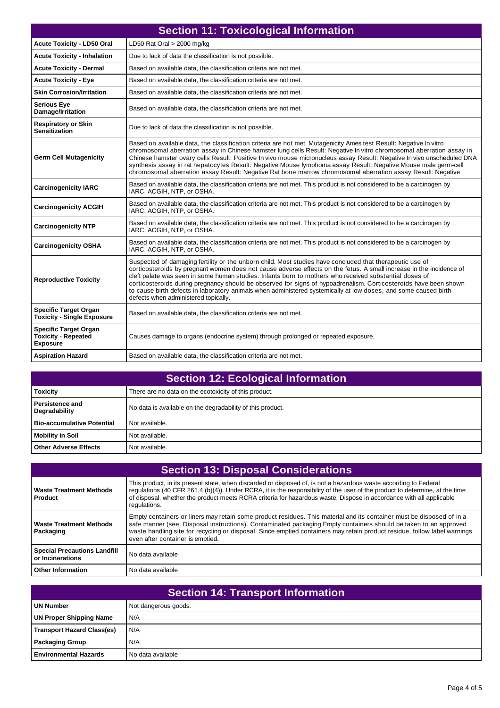| <b>Section 11: Toxicological Information</b>                                  |                                                                                                                                                                                                                                                                                                                                                                                                                                                                                                                                                                                                                          |
|-------------------------------------------------------------------------------|--------------------------------------------------------------------------------------------------------------------------------------------------------------------------------------------------------------------------------------------------------------------------------------------------------------------------------------------------------------------------------------------------------------------------------------------------------------------------------------------------------------------------------------------------------------------------------------------------------------------------|
| <b>Acute Toxicity - LD50 Oral</b>                                             | LD50 Rat Oral > 2000 mg/kg                                                                                                                                                                                                                                                                                                                                                                                                                                                                                                                                                                                               |
| <b>Acute Toxicity - Inhalation</b>                                            | Due to lack of data the classification is not possible.                                                                                                                                                                                                                                                                                                                                                                                                                                                                                                                                                                  |
| <b>Acute Toxicity - Dermal</b>                                                | Based on available data, the classification criteria are not met.                                                                                                                                                                                                                                                                                                                                                                                                                                                                                                                                                        |
| <b>Acute Toxicity - Eye</b>                                                   | Based on available data, the classification criteria are not met.                                                                                                                                                                                                                                                                                                                                                                                                                                                                                                                                                        |
| <b>Skin Corrosion/Irritation</b>                                              | Based on available data, the classification criteria are not met.                                                                                                                                                                                                                                                                                                                                                                                                                                                                                                                                                        |
| <b>Serious Eye</b><br>Damage/Irritation                                       | Based on available data, the classification criteria are not met.                                                                                                                                                                                                                                                                                                                                                                                                                                                                                                                                                        |
| <b>Respiratory or Skin</b><br><b>Sensitization</b>                            | Due to lack of data the classification is not possible.                                                                                                                                                                                                                                                                                                                                                                                                                                                                                                                                                                  |
| <b>Germ Cell Mutagenicity</b>                                                 | Based on available data, the classification criteria are not met. Mutagenicity Ames test Result: Negative In vitro<br>chromosomal aberration assay in Chinese hamster lung cells Result: Negative In vitro chromosomal aberration assay in<br>Chinese hamster ovary cells Result: Positive In vivo mouse micronucleus assay Result: Negative In vivo unscheduled DNA<br>synthesis assay in rat hepatocytes Result: Negative Mouse lymphoma assay Result: Negative Mouse male germ-cell<br>chromosomal aberration assay Result: Negative Rat bone marrow chromosomal aberration assay Result: Negative                    |
| <b>Carcinogenicity IARC</b>                                                   | Based on available data, the classification criteria are not met. This product is not considered to be a carcinogen by<br>IARC, ACGIH, NTP, or OSHA.                                                                                                                                                                                                                                                                                                                                                                                                                                                                     |
| <b>Carcinogenicity ACGIH</b>                                                  | Based on available data, the classification criteria are not met. This product is not considered to be a carcinogen by<br>IARC, ACGIH, NTP, or OSHA.                                                                                                                                                                                                                                                                                                                                                                                                                                                                     |
| <b>Carcinogenicity NTP</b>                                                    | Based on available data, the classification criteria are not met. This product is not considered to be a carcinogen by<br>IARC, ACGIH, NTP, or OSHA.                                                                                                                                                                                                                                                                                                                                                                                                                                                                     |
| <b>Carcinogenicity OSHA</b>                                                   | Based on available data, the classification criteria are not met. This product is not considered to be a carcinogen by<br>IARC, ACGIH, NTP, or OSHA.                                                                                                                                                                                                                                                                                                                                                                                                                                                                     |
| <b>Reproductive Toxicity</b>                                                  | Suspected of damaging fertility or the unborn child. Most studies have concluded that therapeutic use of<br>corticosteroids by pregnant women does not cause adverse effects on the fetus. A small increase in the incidence of<br>cleft palate was seen in some human studies. Infants born to mothers who received substantial doses of<br>corticosteroids during pregnancy should be observed for signs of hypoadrenalism. Corticosteroids have been shown<br>to cause birth defects in laboratory animals when administered systemically at low doses, and some caused birth<br>defects when administered topically. |
| <b>Specific Target Organ</b><br><b>Toxicity - Single Exposure</b>             | Based on available data, the classification criteria are not met.                                                                                                                                                                                                                                                                                                                                                                                                                                                                                                                                                        |
| <b>Specific Target Organ</b><br><b>Toxicity - Repeated</b><br><b>Exposure</b> | Causes damage to organs (endocrine system) through prolonged or repeated exposure.                                                                                                                                                                                                                                                                                                                                                                                                                                                                                                                                       |
| <b>Aspiration Hazard</b>                                                      | Based on available data, the classification criteria are not met.                                                                                                                                                                                                                                                                                                                                                                                                                                                                                                                                                        |

| <b>Section 12: Ecological Information</b> |                                                            |
|-------------------------------------------|------------------------------------------------------------|
| <b>Toxicity</b>                           | There are no data on the ecotoxicity of this product.      |
| <b>Persistence and</b><br>Degradability   | No data is available on the degradability of this product. |
| Bio-accumulative Potential                | Not available.                                             |
| Mobility in Soil                          | Not available.                                             |
| Other Adverse Effects                     | Not available.                                             |

| <b>Section 13: Disposal Considerations</b>              |                                                                                                                                                                                                                                                                                                                                                                                                            |  |
|---------------------------------------------------------|------------------------------------------------------------------------------------------------------------------------------------------------------------------------------------------------------------------------------------------------------------------------------------------------------------------------------------------------------------------------------------------------------------|--|
| <b>Waste Treatment Methods</b><br>Product               | This product, in its present state, when discarded or disposed of, is not a hazardous waste according to Federal<br>regulations (40 CFR 261.4 (b)(4)). Under RCRA, it is the responsibility of the user of the product to determine, at the time<br>of disposal, whether the product meets RCRA criteria for hazardous waste. Dispose in accordance with all applicable<br>regulations.                    |  |
| <b>Waste Treatment Methods</b><br>Packaging             | Empty containers or liners may retain some product residues. This material and its container must be disposed of in a<br>safe manner (see: Disposal instructions). Contaminated packaging Empty containers should be taken to an approved<br>waste handling site for recycling or disposal. Since emptied containers may retain product residue, follow label warnings<br>even after container is emptied. |  |
| <b>Special Precautions Landfill</b><br>or Incinerations | No data available                                                                                                                                                                                                                                                                                                                                                                                          |  |
| <b>Other Information</b>                                | No data available                                                                                                                                                                                                                                                                                                                                                                                          |  |

| <b>Section 14: Transport Information</b> |                      |  |
|------------------------------------------|----------------------|--|
| <b>UN Number</b>                         | Not dangerous goods. |  |
| <b>UN Proper Shipping Name</b>           | N/A                  |  |
| <b>Transport Hazard Class(es)</b>        | N/A                  |  |
| <b>Packaging Group</b>                   | N/A                  |  |
| <b>Environmental Hazards</b>             | No data available    |  |